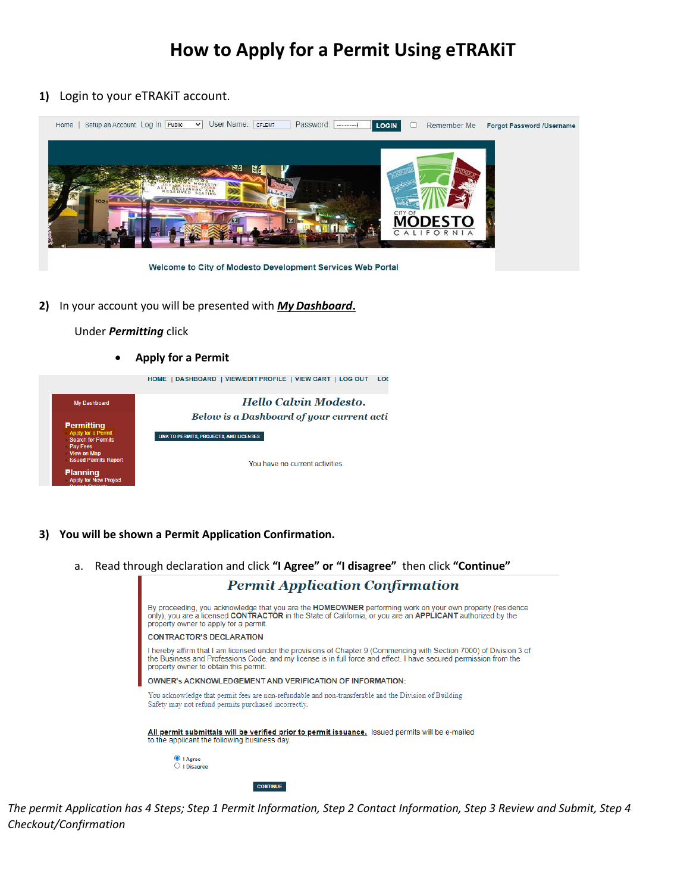## **How to Apply for a Permit Using eTRAKiT**

**1)** Login to your eTRAKiT account.



**2)** In your account you will be presented with *My Dashboard***.**

Under *Permitting* click

• **Apply for a Permit**

HOME | DASHBOARD | VIEW/EDIT PROFILE | VIEW CART | LOG OUT LOC



- **3) You will be shown a Permit Application Confirmation.**
	- a. Read through declaration and click **"I Agree" or "I disagree"** then click **"Continue"**



*The permit Application has 4 Steps; Step 1 Permit Information, Step 2 Contact Information, Step 3 Review and Submit, Step 4 Checkout/Confirmation*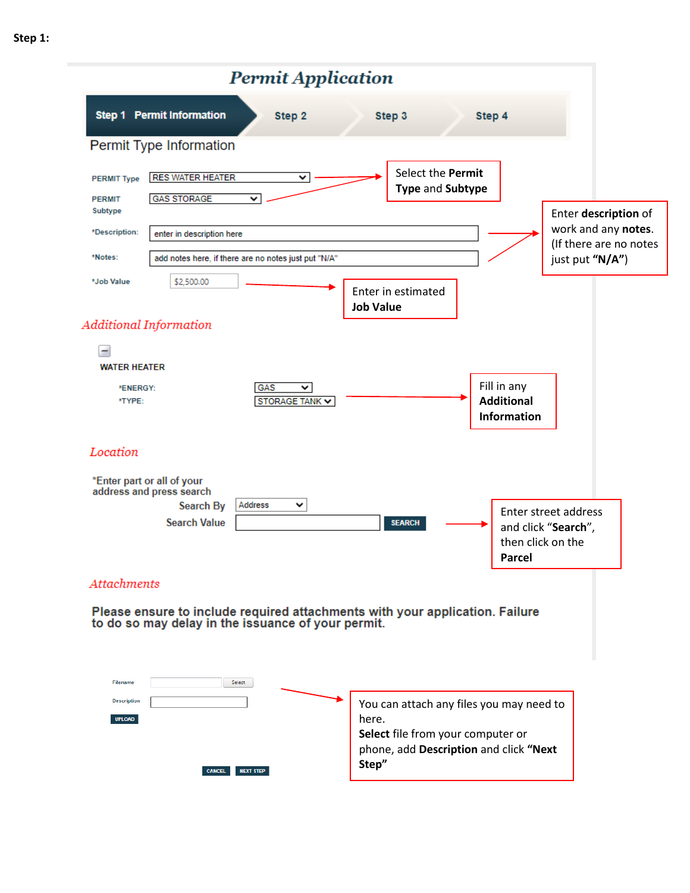### **Permit Application Step 1 Permit Information** Step 4 Step 2 Step 3 Permit Type Information Select the **Permit RES WATER HEATER** ₹ **PERMIT Type Type** and **Subtype GAS STORAGE**  $\overline{\mathbf{v}}$ **PERMIT** Subtype Enter **description** of work and any **notes**. \*Description: enter in description here (If there are no notes \*Notes: add notes here, if there are no notes just put "N/A" just put **"N/A"**) \$2,500.00 \*Job Value Enter in estimated **Job Value Additional Information**  $\overline{\phantom{a}}$ **WATER HEATER** Fill in any \*ENERGY: GAS < \*TYPE: **Additional** STORAGE TANK V **Information** Location \*Enter part or all of your address and press search v Search By Address Enter street address **Search Value SEARCH** and click "**Search**", then click on the **Parcel Attachments** Please ensure to include required attachments with your application. Failure to do so may delay in the issuance of your permit. Select **Description**

You can attach any files you may need to here. **Select** file from your computer or phone, add **Description** and click **"Next Step"**CANCEL NEXT STEP

UPLOAD

**Step 1:**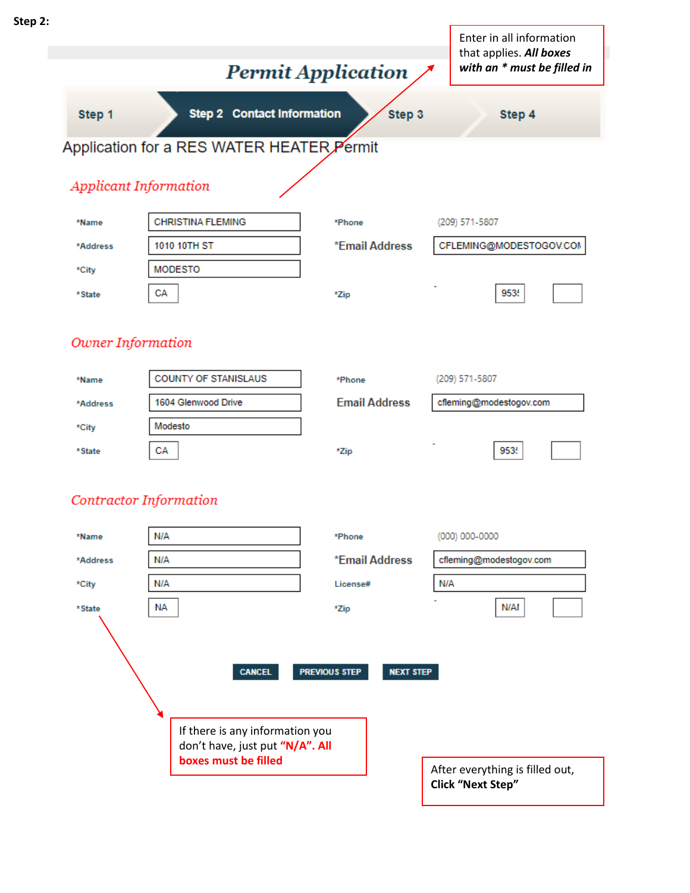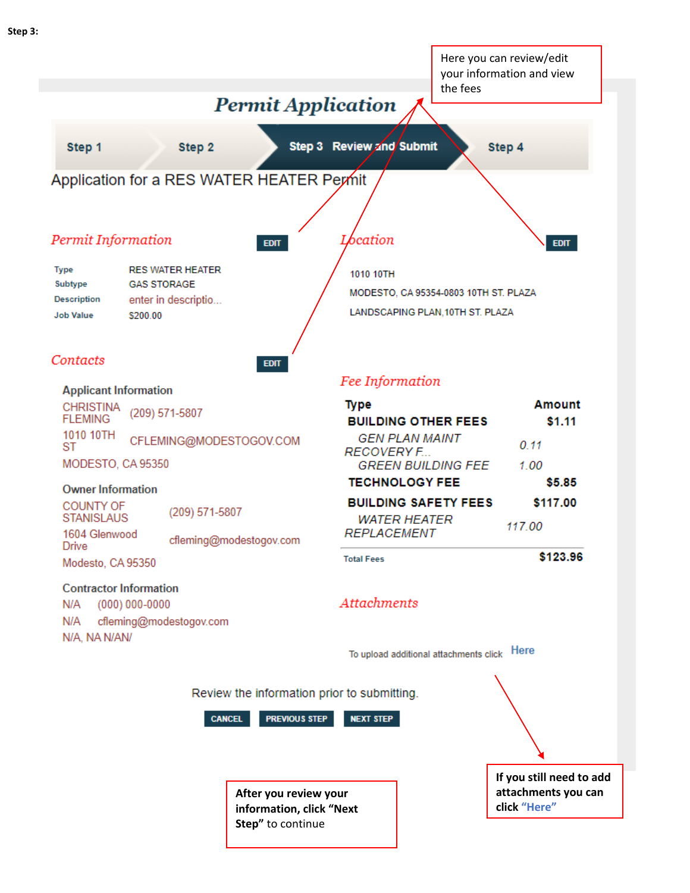